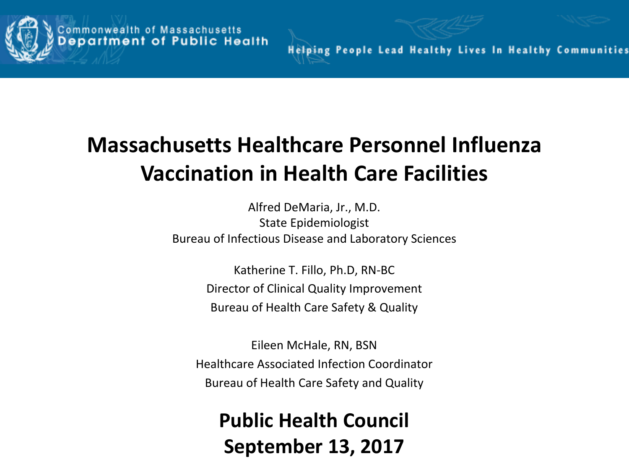



**Helping People Lead Healthy Lives In Healthy Communities** 

# **Massachusetts Healthcare Personnel Influenza Vaccination in Health Care Facilities**

Alfred DeMaria, Jr., M.D. State Epidemiologist Bureau of Infectious Disease and Laboratory Sciences

> Katherine T. Fillo, Ph.D, RN-BC Director of Clinical Quality Improvement Bureau of Health Care Safety & Quality

Eileen McHale, RN, BSN Healthcare Associated Infection Coordinator Bureau of Health Care Safety and Quality

**Public Health Council September 13, 2017**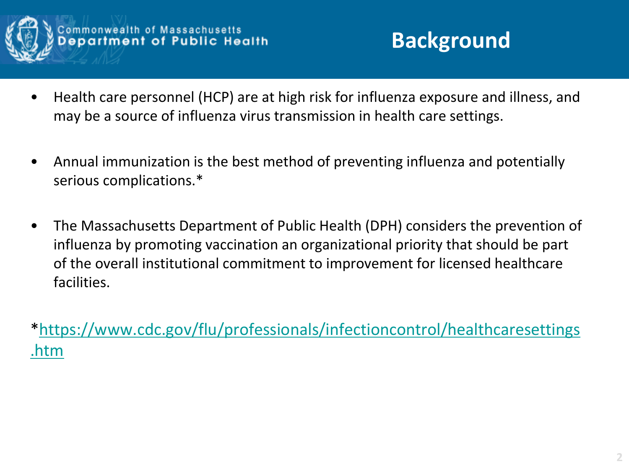

- Health care personnel (HCP) are at high risk for influenza exposure and illness, and may be a source of influenza virus transmission in health care settings.
- Annual immunization is the best method of preventing influenza and potentially serious complications.\*
- The Massachusetts Department of Public Health (DPH) considers the prevention of influenza by promoting vaccination an organizational priority that should be part of the overall institutional commitment to improvement for licensed healthcare facilities.

[\\*https://www.cdc.gov/flu/professionals/infectioncontrol/healthcaresettings](https://www.cdc.gov/flu/professionals/infectioncontrol/healthcaresettings.htm) [.htm](https://www.cdc.gov/flu/professionals/infectioncontrol/healthcaresettings.htm)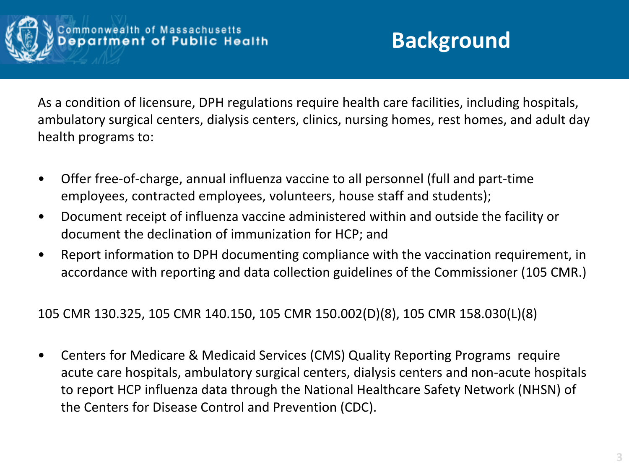

## **Background**

As a condition of licensure, DPH regulations require health care facilities, including hospitals, ambulatory surgical centers, dialysis centers, clinics, nursing homes, rest homes, and adult day health programs to:

- Offer free-of-charge, annual influenza vaccine to all personnel (full and part-time employees, contracted employees, volunteers, house staff and students);
- Document receipt of influenza vaccine administered within and outside the facility or document the declination of immunization for HCP; and
- Report information to DPH documenting compliance with the vaccination requirement, in accordance with reporting and data collection guidelines of the Commissioner (105 CMR.)

105 CMR 130.325, 105 CMR 140.150, 105 CMR 150.002(D)(8), 105 CMR 158.030(L)(8)

• Centers for Medicare & Medicaid Services (CMS) Quality Reporting Programs require acute care hospitals, ambulatory surgical centers, dialysis centers and non-acute hospitals to report HCP influenza data through the National Healthcare Safety Network (NHSN) of the Centers for Disease Control and Prevention (CDC).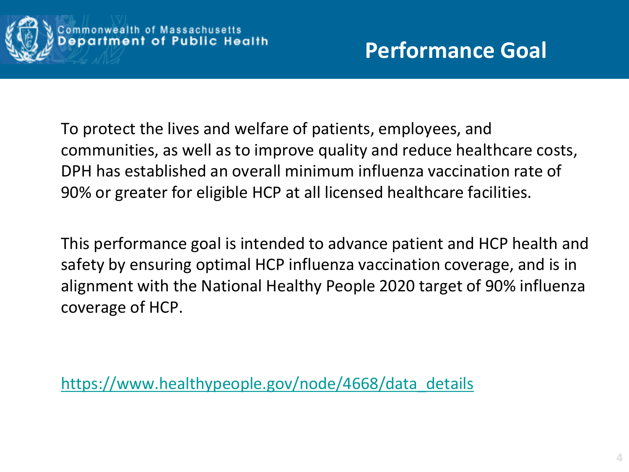

To protect the lives and welfare of patients, employees, and communities, as well as to improve quality and reduce healthcare costs, DPH has established an overall minimum influenza vaccination rate of 90% or greater for eligible HCP at all licensed healthcare facilities.

This performance goal is intended to advance patient and HCP health and safety by ensuring optimal HCP influenza vaccination coverage, and is in alignment with the National Healthy People 2020 target of 90% influenza coverage of HCP.

[https://www.healthypeople.gov/node/4668/data\\_details](https://www.healthypeople.gov/node/4668/data_details)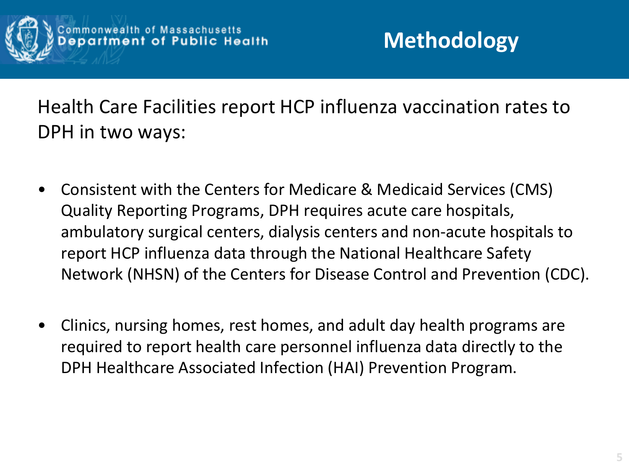

Health Care Facilities report HCP influenza vaccination rates to DPH in two ways:

- Consistent with the Centers for Medicare & Medicaid Services (CMS) Quality Reporting Programs, DPH requires acute care hospitals, ambulatory surgical centers, dialysis centers and non-acute hospitals to report HCP influenza data through the National Healthcare Safety Network (NHSN) of the Centers for Disease Control and Prevention (CDC).
- Clinics, nursing homes, rest homes, and adult day health programs are required to report health care personnel influenza data directly to the DPH Healthcare Associated Infection (HAI) Prevention Program.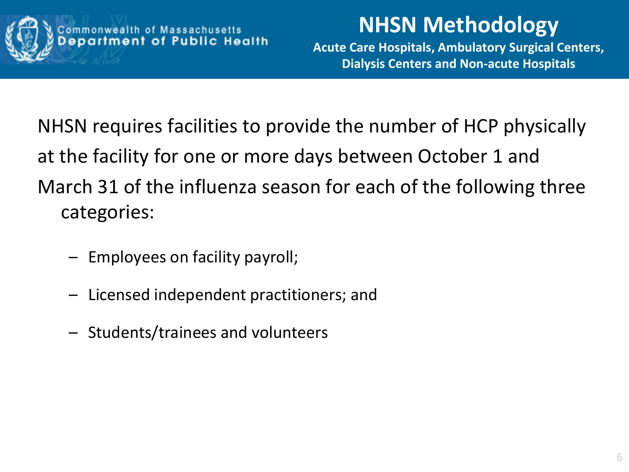

## **NHSN Methodology**

**Acute Care Hospitals, Ambulatory Surgical Centers, Dialysis Centers and Non-acute Hospitals**

NHSN requires facilities to provide the number of HCP physically at the facility for one or more days between October 1 and March 31 of the influenza season for each of the following three categories:

- Employees on facility payroll;
- Licensed independent practitioners; and
- Students/trainees and volunteers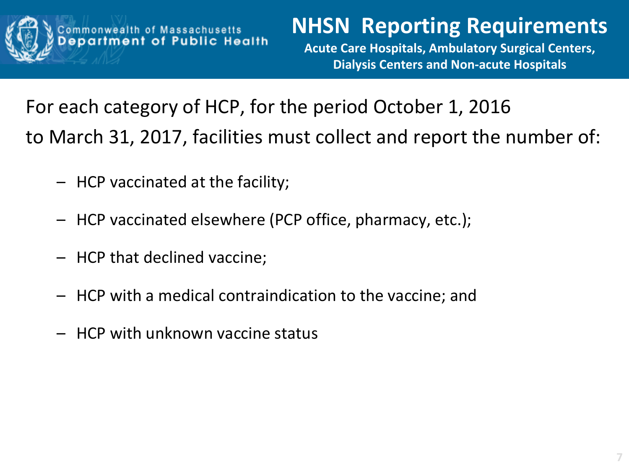

## **NHSN Reporting Requirements**

**Acute Care Hospitals, Ambulatory Surgical Centers, Dialysis Centers and Non-acute Hospitals**

For each category of HCP, for the period October 1, 2016 to March 31, 2017, facilities must collect and report the number of:

- HCP vaccinated at the facility;
- HCP vaccinated elsewhere (PCP office, pharmacy, etc.);
- HCP that declined vaccine;
- HCP with a medical contraindication to the vaccine; and
- HCP with unknown vaccine status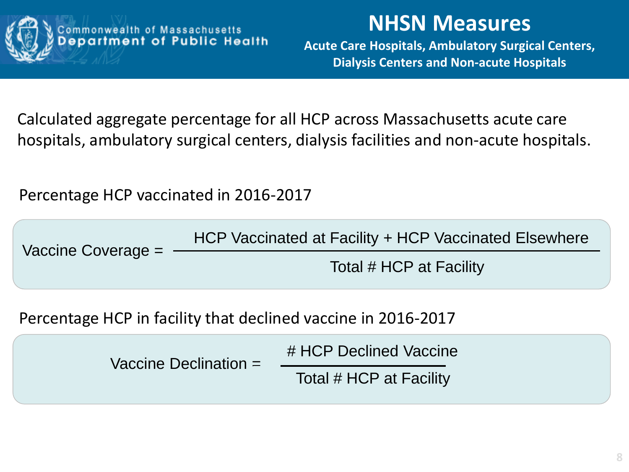

#### assachusetts<br>Public Health mmonwea

### **NHSN Measures**

**Acute Care Hospitals, Ambulatory Surgical Centers, Dialysis Centers and Non-acute Hospitals**

Calculated aggregate percentage for all HCP across Massachusetts acute care hospitals, ambulatory surgical centers, dialysis facilities and non-acute hospitals.

Percentage HCP vaccinated in 2016-2017

| HCP Vaccinated at Facility + HCP Vaccinated Elsewhere<br>Vaccine Coverage = |                       |  |
|-----------------------------------------------------------------------------|-----------------------|--|
| Total # HCP at Facility                                                     |                       |  |
| Percentage HCP in facility that declined vaccine in 2016-2017               |                       |  |
| # HCP Declined Vaccine                                                      |                       |  |
| Total # HCP at Facility                                                     |                       |  |
|                                                                             | Vaccine Declination - |  |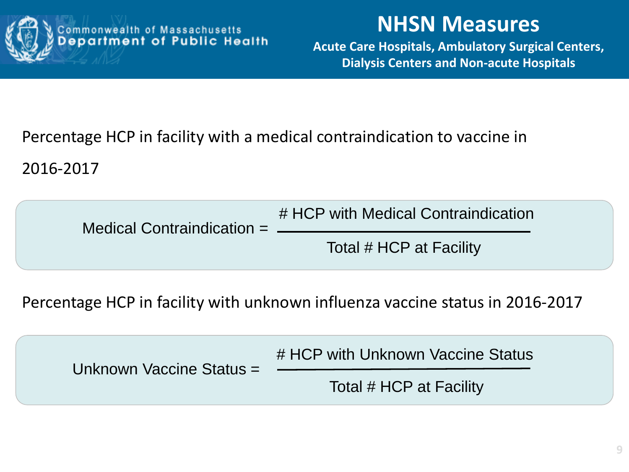

#### **NHSN Measures**

**Acute Care Hospitals, Ambulatory Surgical Centers, Dialysis Centers and Non-acute Hospitals**

#### Percentage HCP in facility with a medical contraindication to vaccine in

2016-2017

| Medical Contraindication $=$ $\_\_$ | # HCP with Medical Contraindication |
|-------------------------------------|-------------------------------------|
|                                     | Total # HCP at Facility             |

Percentage HCP in facility with unknown influenza vaccine status in 2016-2017

| Unknown Vaccine Status = | # HCP with Unknown Vaccine Status |
|--------------------------|-----------------------------------|
|                          | Total # HCP at Facility           |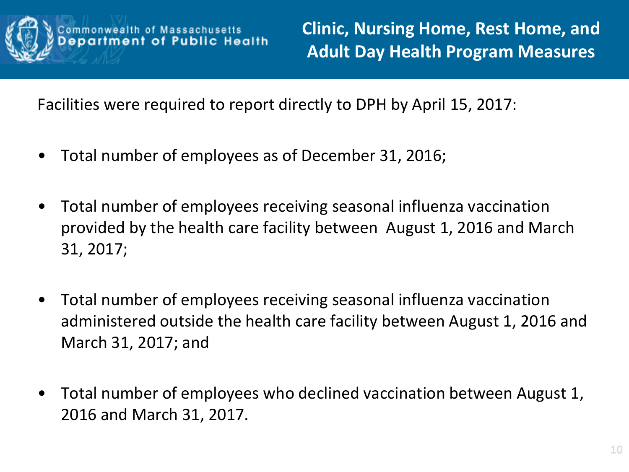

**Clinic, Nursing Home, Rest Home, and Adult Day Health Program Measures**

Facilities were required to report directly to DPH by April 15, 2017:

- Total number of employees as of December 31, 2016;
- Total number of employees receiving seasonal influenza vaccination provided by the health care facility between August 1, 2016 and March 31, 2017;
- Total number of employees receiving seasonal influenza vaccination administered outside the health care facility between August 1, 2016 and March 31, 2017; and
- Total number of employees who declined vaccination between August 1, 2016 and March 31, 2017.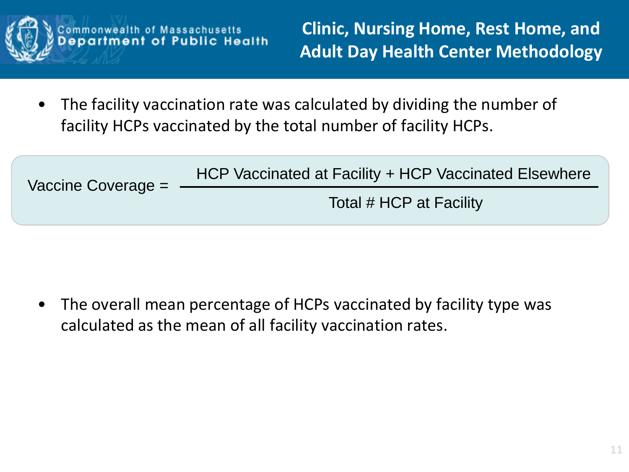

**Clinic, Nursing Home, Rest Home, and Adult Day Health Center Methodology** 

The facility vaccination rate was calculated by dividing the number of facility HCPs vaccinated by the total number of facility HCPs.

Massachusetts<br>of Public Health

| Vaccine Coverage = | HCP Vaccinated at Facility + HCP Vaccinated Elsewhere |
|--------------------|-------------------------------------------------------|
|                    | Total # HCP at Facility                               |
|                    |                                                       |

The overall mean percentage of HCPs vaccinated by facility type was calculated as the mean of all facility vaccination rates.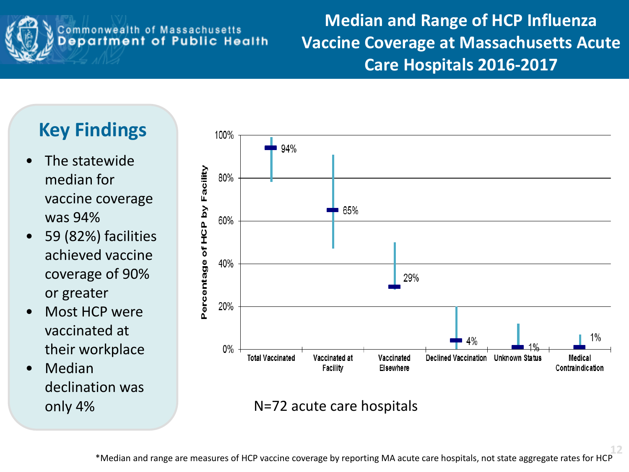

**Median and Range of HCP Influenza Vaccine Coverage at Massachusetts Acute Care Hospitals 2016-2017**

## **Key Findings**

- The statewide median for vaccine coverage was 94%
- 59 (82%) facilities achieved vaccine coverage of 90% or greater
- Most HCP were vaccinated at their workplace
- **Median** declination was



only 4% N=72 acute care hospitals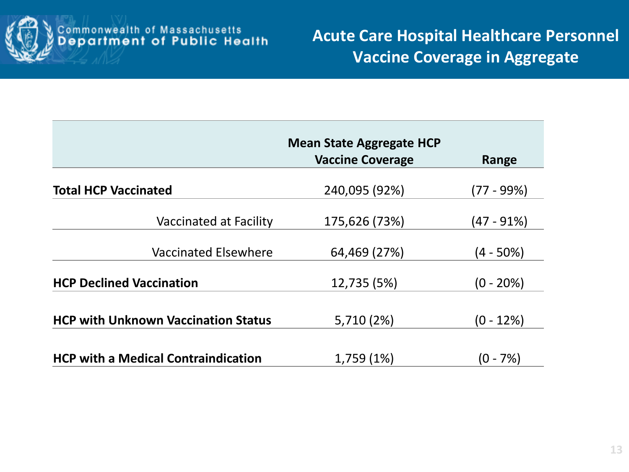

|                                            | <b>Mean State Aggregate HCP</b> |              |
|--------------------------------------------|---------------------------------|--------------|
|                                            | <b>Vaccine Coverage</b>         | Range        |
| <b>Total HCP Vaccinated</b>                | 240,095 (92%)                   | (77 - 99%)   |
| <b>Vaccinated at Facility</b>              | 175,626 (73%)                   | (47 - 91%)   |
| <b>Vaccinated Elsewhere</b>                | 64,469 (27%)                    | $(4 - 50\%)$ |
| <b>HCP Declined Vaccination</b>            | 12,735 (5%)                     | $(0 - 20\%)$ |
| <b>HCP with Unknown Vaccination Status</b> | 5,710 (2%)                      | $(0 - 12\%)$ |
| <b>HCP with a Medical Contraindication</b> | 1,759 (1%)                      | (0 - 7%)     |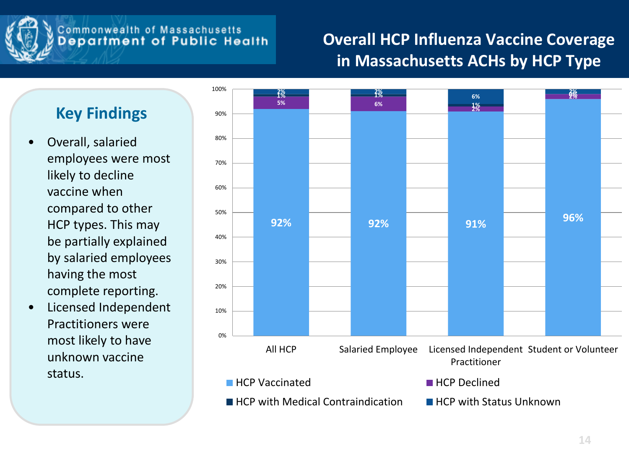

#### **Overall HCP Influenza Vaccine Coverage in Massachusetts ACHs by HCP Type**

#### **Key Findings**

- Overall, salaried employees were most likely to decline vaccine when compared to other HCP types. This may be partially explained by salaried employees having the most complete reporting.
- Licensed Independent Practitioners were most likely to have unknown vaccine status.

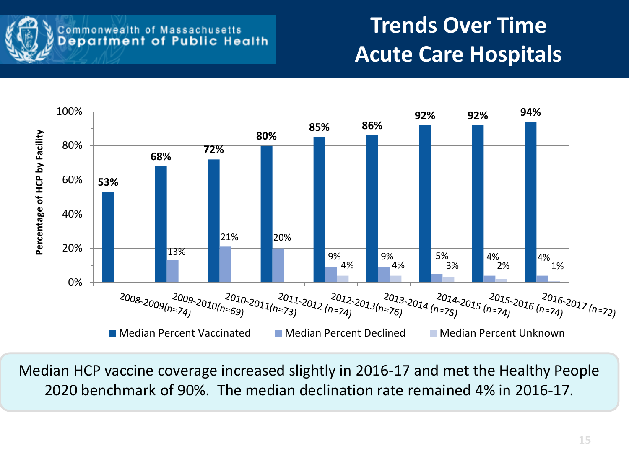

# **Trends Over Time Acute Care Hospitals**



Median HCP vaccine coverage increased slightly in 2016-17 and met the Healthy People 2020 benchmark of 90%. The median declination rate remained 4% in 2016-17.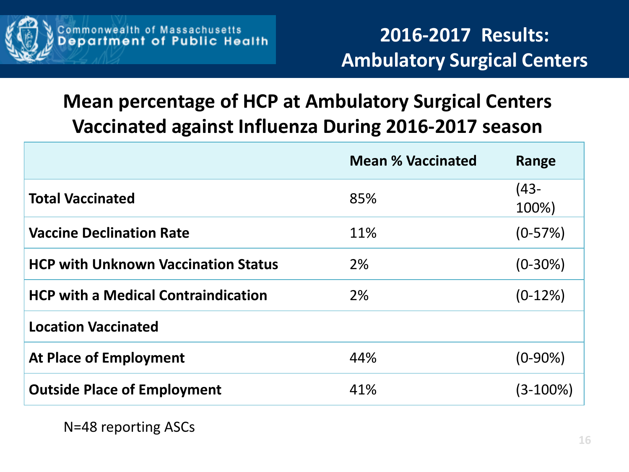

### **Mean percentage of HCP at Ambulatory Surgical Centers Vaccinated against Influenza During 2016-2017 season**

|                                            | <b>Mean % Vaccinated</b> | Range         |
|--------------------------------------------|--------------------------|---------------|
| <b>Total Vaccinated</b>                    | 85%                      | (43-<br>100%) |
| <b>Vaccine Declination Rate</b>            | 11%                      | $(0-57%)$     |
| <b>HCP with Unknown Vaccination Status</b> | 2%                       | $(0-30\%)$    |
| <b>HCP with a Medical Contraindication</b> | 2%                       | $(0-12%)$     |
| <b>Location Vaccinated</b>                 |                          |               |
| <b>At Place of Employment</b>              | 44%                      | $(0-90%)$     |
| <b>Outside Place of Employment</b>         | 41%                      | (3-100%)      |

N=48 reporting ASCs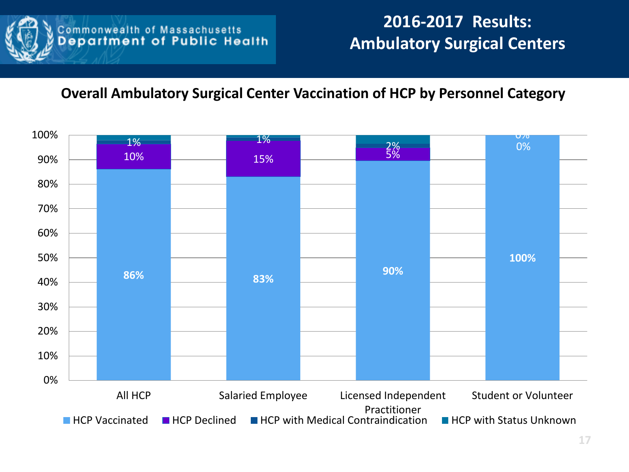

#### **Overall Ambulatory Surgical Center Vaccination of HCP by Personnel Category**

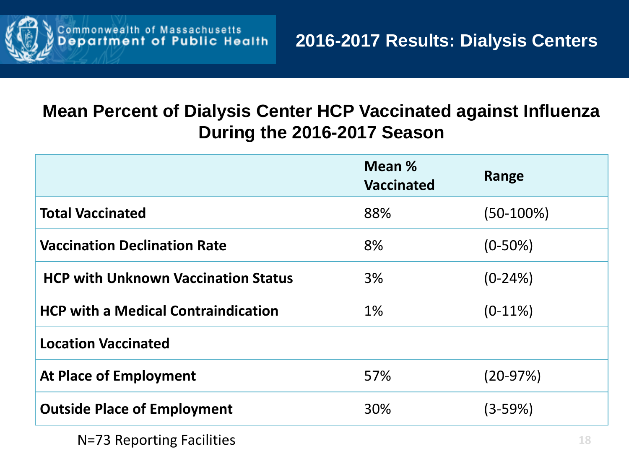

#### **Mean Percent of Dialysis Center HCP Vaccinated against Influenza During the 2016-2017 Season**

|                                            | Mean %<br><b>Vaccinated</b> | Range       |
|--------------------------------------------|-----------------------------|-------------|
| <b>Total Vaccinated</b>                    | 88%                         | (50-100%)   |
| <b>Vaccination Declination Rate</b>        | 8%                          | $(0-50\%)$  |
| <b>HCP with Unknown Vaccination Status</b> | 3%                          | $(0-24%)$   |
| <b>HCP with a Medical Contraindication</b> | $1\%$                       | $(0-11\%)$  |
| <b>Location Vaccinated</b>                 |                             |             |
| <b>At Place of Employment</b>              | 57%                         | $(20-97%)$  |
| <b>Outside Place of Employment</b>         | 30%                         | $(3 - 59%)$ |

N=73 Reporting Facilities **18**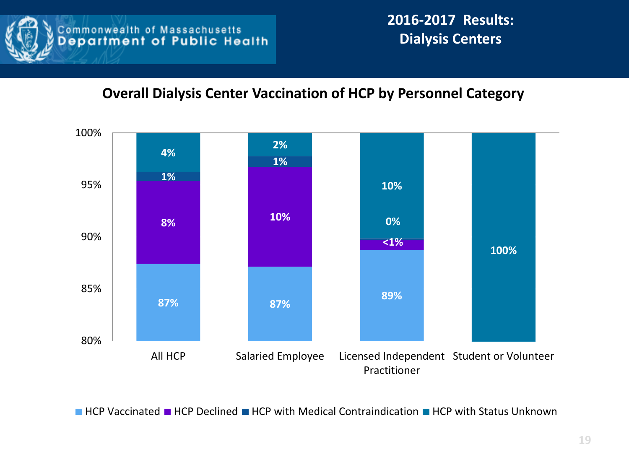

**2016-2017 Results: Dialysis Centers** 

#### **Overall Dialysis Center Vaccination of HCP by Personnel Category**



 $\blacksquare$  HCP Vaccinated  $\blacksquare$  HCP Declined  $\blacksquare$  HCP with Medical Contraindication  $\blacksquare$  HCP with Status Unknown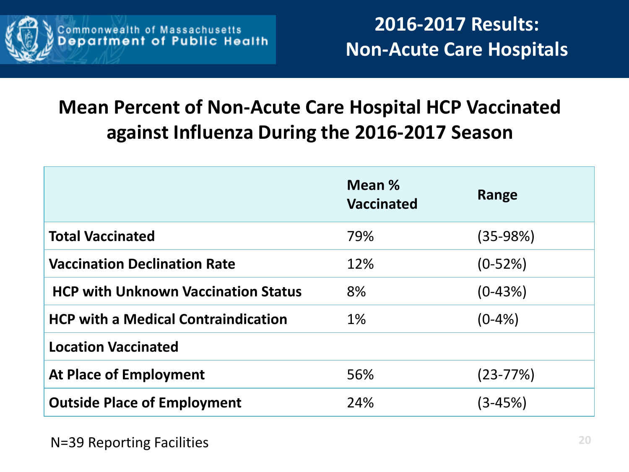

## **Mean Percent of Non-Acute Care Hospital HCP Vaccinated against Influenza During the 2016-2017 Season**

|                                            | Mean %<br><b>Vaccinated</b> | Range        |
|--------------------------------------------|-----------------------------|--------------|
| <b>Total Vaccinated</b>                    | 79%                         | (35-98%)     |
| <b>Vaccination Declination Rate</b>        | 12%                         | $(0-52%)$    |
| <b>HCP with Unknown Vaccination Status</b> | 8%                          | $(0-43%)$    |
| <b>HCP with a Medical Contraindication</b> | $1\%$                       | $(0-4% )$    |
| <b>Location Vaccinated</b>                 |                             |              |
| <b>At Place of Employment</b>              | 56%                         | $(23 - 77%)$ |
| <b>Outside Place of Employment</b>         | 24%                         | (3-45%)      |

N=39 Reporting Facilities **20**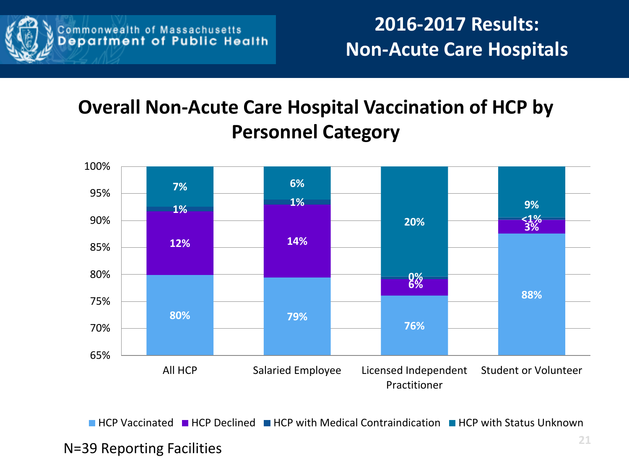

## **Overall Non-Acute Care Hospital Vaccination of HCP by Personnel Category**



**HECP Vaccinated HCP Declined HCP with Medical Contraindication HCP with Status Unknown** 

#### N=39 Reporting Facilities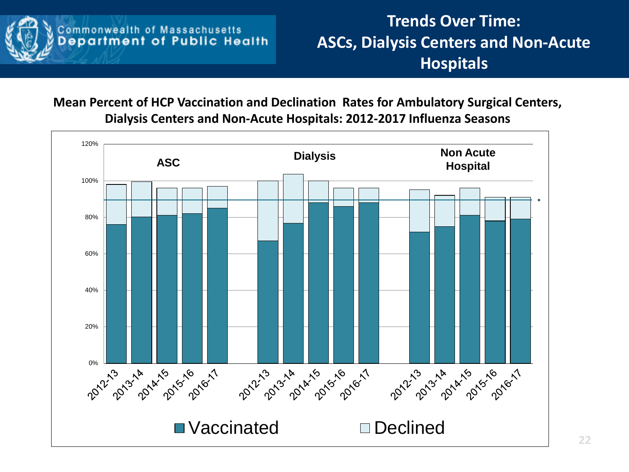

**Trends Over Time: ASCs, Dialysis Centers and Non-Acute Hospitals** 

**Mean Percent of HCP Vaccination and Declination Rates for Ambulatory Surgical Centers, Dialysis Centers and Non-Acute Hospitals: 2012-2017 Influenza Seasons**

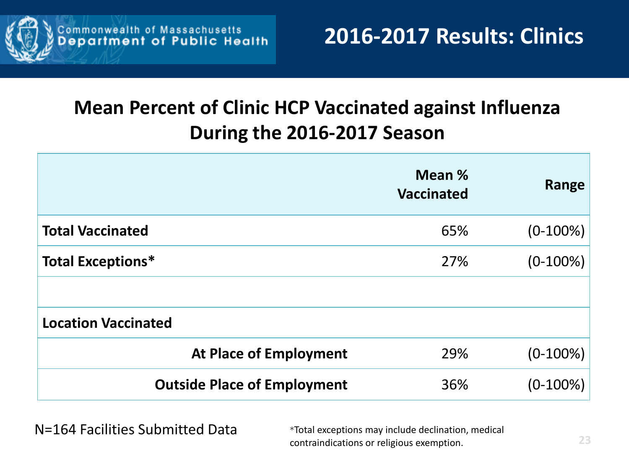

## **Mean Percent of Clinic HCP Vaccinated against Influenza During the 2016-2017 Season**

|                                    | Mean %<br><b>Vaccinated</b> | Range       |
|------------------------------------|-----------------------------|-------------|
| <b>Total Vaccinated</b>            | 65%                         | $(0-100\%)$ |
| <b>Total Exceptions*</b>           | 27%                         | $(0-100\%)$ |
|                                    |                             |             |
| <b>Location Vaccinated</b>         |                             |             |
| <b>At Place of Employment</b>      | 29%                         | $(0-100\%)$ |
| <b>Outside Place of Employment</b> | 36%                         | $(0-100\%)$ |

N=164 Facilities Submitted Data \*Total exceptions may include declination, medical

contraindications or religious exemption. **23**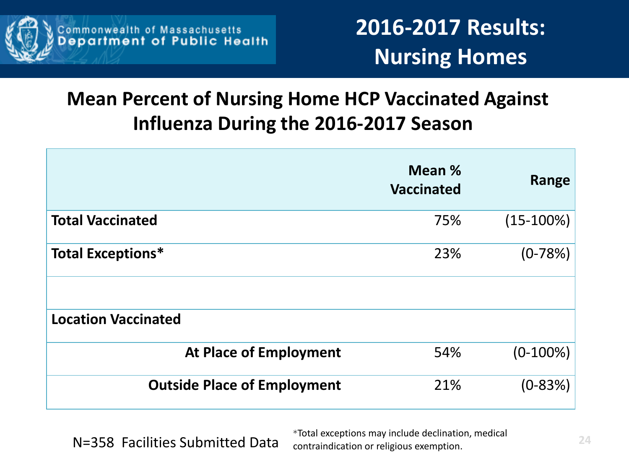

## **Mean Percent of Nursing Home HCP Vaccinated Against Influenza During the 2016-2017 Season**

|                                    | Mean %<br><b>Vaccinated</b> | Range       |
|------------------------------------|-----------------------------|-------------|
| <b>Total Vaccinated</b>            | 75%                         | $(15-100%)$ |
| <b>Total Exceptions*</b>           | 23%                         | $(0-78%)$   |
|                                    |                             |             |
| <b>Location Vaccinated</b>         |                             |             |
| <b>At Place of Employment</b>      | 54%                         | $(0-100\%)$ |
| <b>Outside Place of Employment</b> | 21%                         | $(0-83%)$   |

N=358 Facilities Submitted Data

\*Total exceptions may include declination, medical contraindication or religious exemption. **24**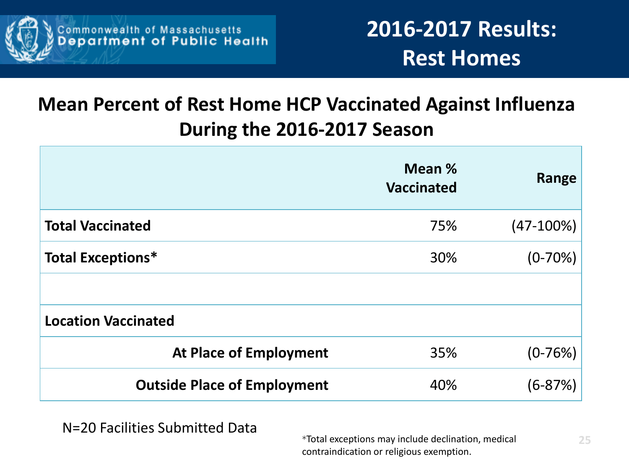

## **Mean Percent of Rest Home HCP Vaccinated Against Influenza During the 2016-2017 Season**

|                                    | Mean %<br><b>Vaccinated</b> | Range        |
|------------------------------------|-----------------------------|--------------|
| <b>Total Vaccinated</b>            | 75%                         | $(47-100\%)$ |
| <b>Total Exceptions*</b>           | 30%                         | $(0-70%)$    |
|                                    |                             |              |
| <b>Location Vaccinated</b>         |                             |              |
| <b>At Place of Employment</b>      | 35%                         | $(0-76%)$    |
| <b>Outside Place of Employment</b> | 40%                         | $(6 - 87%)$  |

N=20 Facilities Submitted Data

\*Total exceptions may include declination, medical contraindication or religious exemption.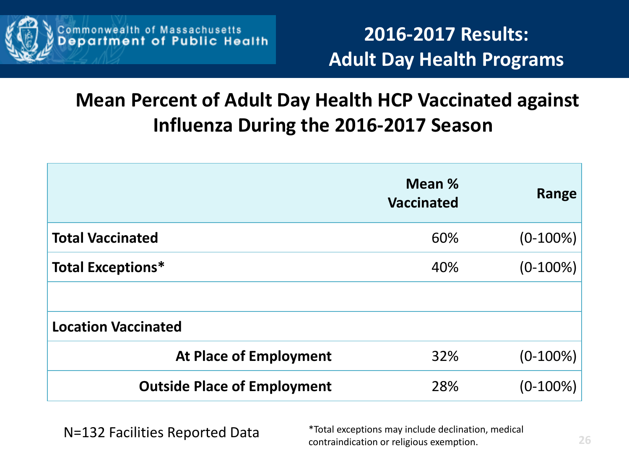

**2016-2017 Results: Adult Day Health Programs**

### **Mean Percent of Adult Day Health HCP Vaccinated against Influenza During the 2016-2017 Season**

|                                    | Mean %<br><b>Vaccinated</b> | Range       |
|------------------------------------|-----------------------------|-------------|
| <b>Total Vaccinated</b>            | 60%                         | $(0-100\%)$ |
| <b>Total Exceptions*</b>           | 40%                         | $(0-100\%)$ |
|                                    |                             |             |
| <b>Location Vaccinated</b>         |                             |             |
| <b>At Place of Employment</b>      | 32%                         | $(0-100\%)$ |
| <b>Outside Place of Employment</b> | 28%                         | $(0-100\%)$ |

N=132 Facilities Reported Data \*Total exceptions may include declination, medical contraindication or religious exemption. **26**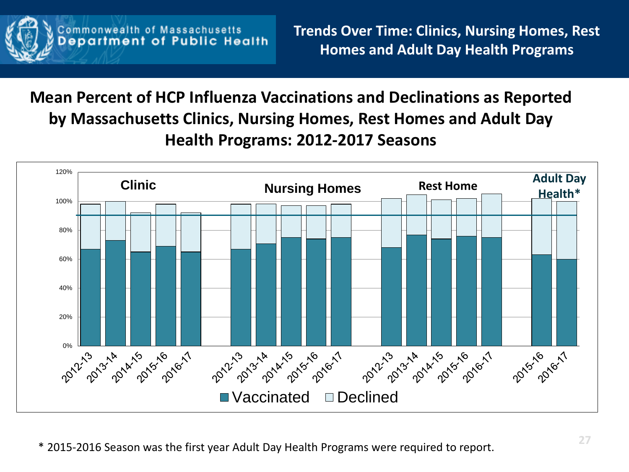

#### **Mean Percent of HCP Influenza Vaccinations and Declinations as Reported by Massachusetts Clinics, Nursing Homes, Rest Homes and Adult Day Health Programs: 2012-2017 Seasons**

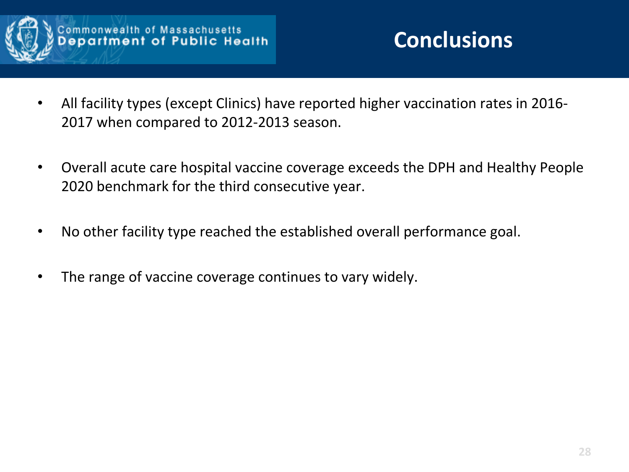

- All facility types (except Clinics) have reported higher vaccination rates in 2016- 2017 when compared to 2012-2013 season.
- Overall acute care hospital vaccine coverage exceeds the DPH and Healthy People 2020 benchmark for the third consecutive year.
- No other facility type reached the established overall performance goal.
- The range of vaccine coverage continues to vary widely.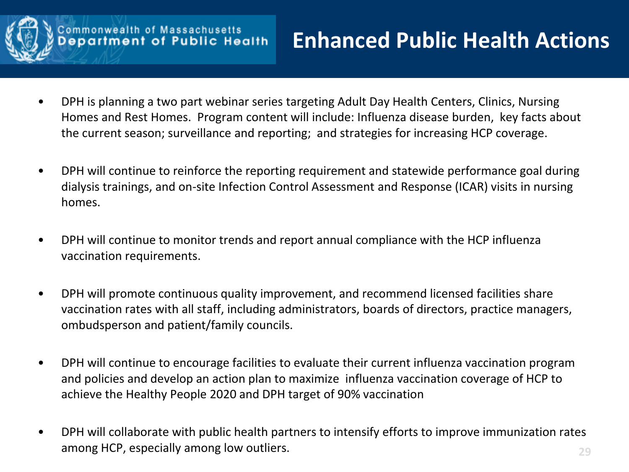

## **Enhanced Public Health Actions**

- DPH is planning a two part webinar series targeting Adult Day Health Centers, Clinics, Nursing Homes and Rest Homes. Program content will include: Influenza disease burden, key facts about the current season; surveillance and reporting; and strategies for increasing HCP coverage.
- DPH will continue to reinforce the reporting requirement and statewide performance goal during dialysis trainings, and on-site Infection Control Assessment and Response (ICAR) visits in nursing homes.
- DPH will continue to monitor trends and report annual compliance with the HCP influenza vaccination requirements.
- DPH will promote continuous quality improvement, and recommend licensed facilities share vaccination rates with all staff, including administrators, boards of directors, practice managers, ombudsperson and patient/family councils.
- DPH will continue to encourage facilities to evaluate their current influenza vaccination program and policies and develop an action plan to maximize influenza vaccination coverage of HCP to achieve the Healthy People 2020 and DPH target of 90% vaccination
- DPH will collaborate with public health partners to intensify efforts to improve immunization rates among HCP, especially among low outliers. **29**